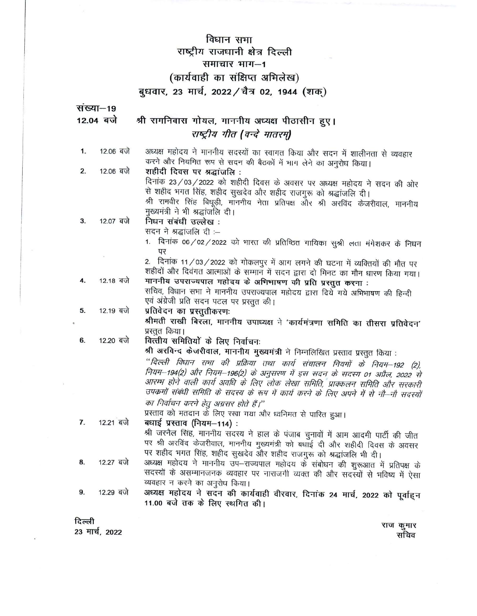# विधान सभा राष्ट्रीय राजधानी क्षेत्र दिल्ली समाचार भाग-1 (कार्यवाही का संक्षिप्त अभिलेख) बुधवार, 23 मार्च, 2022 / चैत्र 02, 1944 (शक्)

संख्या-19 श्री रामनिवास गोयल, माननीय अध्यक्ष पीठासीन हुए। 12.04 बजे राष्ट्रीय गीत (वन्दे मातरम) अध्यक्ष महोदय ने माननीय सदस्यों का स्वागत किया और सदन में शालीनता से व्यवहार 12.06 बजे  $1.$ करने और नियमित रूप से सदन की बैठकों में भाग लेने का अनुरोध किया। 12.06 बजे शहीदी दिवस पर श्रद्धांजलि:  $2.$ दिनांक 23/03/2022 को शहीदी दिवस के अवसर पर अध्यक्ष महोदय ने सदन की ओर से शहीद भगत सिंह, शहीद सुखदेव और शहीद राजगुरू को श्रद्धांजलि दी। श्री रामवीर सिंह बिधूड़ी, माननीय नेता प्रतिपक्ष और श्री अरविंद केजरीवाल, माननीय मुख्यमंत्री ने भी श्रद्धांजलि दी। 12.07 बजे निधन संबंधी उल्लेख: 3. सदन ने श्रद्धांजलि दी :-1. दिनांक 06/02/2022 को भारत की प्रतिष्ठित गायिका सुश्री लता मंगेशकर के निधन पर 2. दिनांक 11/03/2022 को गोकलपुर में आग लगने की घटना में व्यक्तियों की मौत पर शहीदों और दिवंगत आत्माओं के सम्मान में सदन द्वारा दो मिनट का मौन धारण किया गया। माननीय उपराज्यपाल महोदय के अभिभाषण की प्रति प्रस्तुत करना : 12.18 बजे  $\overline{4}$ . सचिव, विधान सभा ने माननीय उपराज्यपाल महोदय द्वारा दिये गये अभिभाषण की हिन्दी एवं अंग्रेजी प्रति सदन पटल पर प्रस्तुत की। 12.19 बजे प्रतिवेदन का प्रस्तुतीकरणः 5. श्रीमती राखी बिरला, माननीय उपाध्यक्ष ने 'कार्यमंत्रणा समिति का तीसरा प्रतिवेदन' प्रस्तत किया। वित्तीय समितियों के लिए निर्वाचनः 12.20 बजे 6. श्री अरविन्द केजरीवाल, माननीय मुख्यमंत्री ने निम्नलिखित प्रस्ताव प्रस्तुत किया : "दिल्ली विधान राभा की प्रक्रिया तथा कार्य संचालन नियमों के नियम–192 (2), नियम-194(2) और नियम-196(2) के अनुसरण में इस सदन के सदस्य 01 अप्रैल, 2022 से आरम्भ होने वाली कार्य अवधि के लिए लोक लेखा समिति, प्राक्कलन समिति और सरकारी उपकर्मों संबंधी समिति के सदस्य के रूप में कार्य करने के लिए अपने में से नौ-नौ सदस्यों का निर्वाचन करने हेतु अग्रसर होते हैं।'' प्रस्ताव को मतदान के लिए रखा गया और ध्वनिमत से पारित हुआ। 12.21 बजे 7. बधाई प्रस्ताव (नियम–114) : श्री जरनैल सिंह, माननीय सदस्य ने हाल के पंजाब चुनावों में आम आदमी पार्टी की जीत पर श्री अरविंद केजरीवाल, माननीय मुख्यमंत्री को बधाई दी और शहीदी दिवस के अवसर पर शहीद भगत सिंह, शहीद सुखदेव और शहीद राजगुरू को श्रद्धांजलि भी दी। अध्यक्ष महोदय ने माननीय उप-राज्यपाल महोदय के संबोधन की शुरूआत में प्रतिपक्ष के 12.27 बजे 8. सदस्यों के असम्मानजनक व्यवहार पर नाराजगी व्यक्त की और सदस्यों से भविष्य में ऐसा व्यवहार न करने का अनुरोध किया। अध्यक्ष महोदय ने सदन की कार्यवाही वीरवार, दिनांक 24 मार्च, 2022 को पूर्वाह्न 9. 12.29 बजे 11.00 बजे तक के लिए स्थगित की।

दिल्ली 23 मार्च, 2022

राज कुमार सचिव